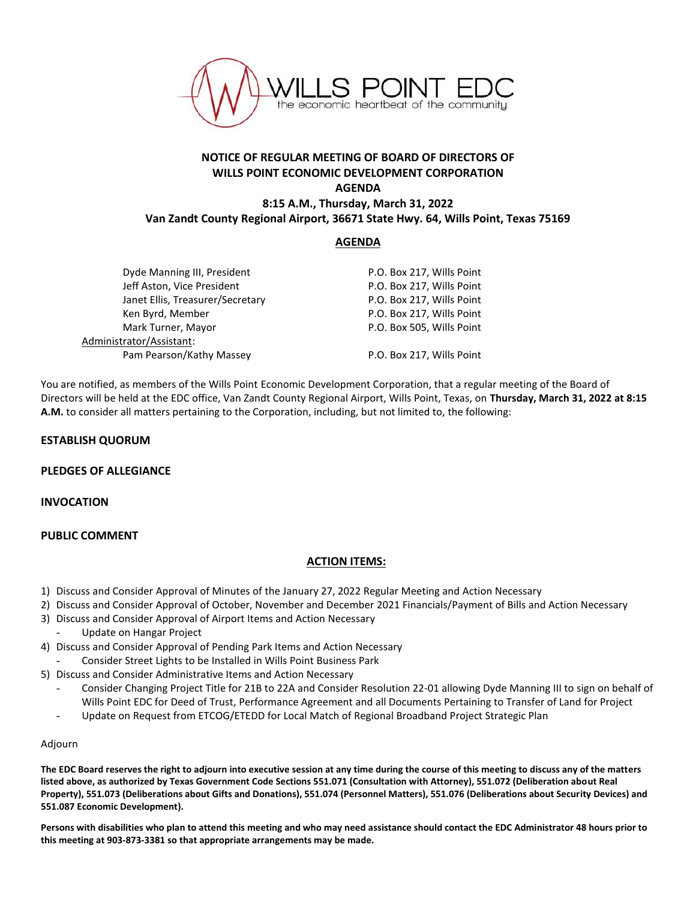

# **NOTICE OF REGULAR MEETING OF BOARD OF DIRECTORS OF WILLS POINT ECONOMIC DEVELOPMENT CORPORATION AGENDA 8:15 A.M., Thursday, March 31, 2022**

**Van Zandt County Regional Airport, 36671 State Hwy. 64, Wills Point, Texas 75169**

### **AGENDA**

| Dyde Manning III, President      | P.O. Box 217, Wills Point |
|----------------------------------|---------------------------|
| Jeff Aston, Vice President       | P.O. Box 217, Wills Point |
| Janet Ellis, Treasurer/Secretary | P.O. Box 217, Wills Point |
| Ken Byrd, Member                 | P.O. Box 217, Wills Point |
| Mark Turner, Mayor               | P.O. Box 505, Wills Point |
| Administrator/Assistant:         |                           |
| Pam Pearson/Kathy Massey         | P.O. Box 217, Wills Point |
|                                  |                           |

You are notified, as members of the Wills Point Economic Development Corporation, that a regular meeting of the Board of Directors will be held at the EDC office, Van Zandt County Regional Airport, Wills Point, Texas, on **Thursday, March 31, 2022 at 8:15 A.M.** to consider all matters pertaining to the Corporation, including, but not limited to, the following:

### **ESTABLISH QUORUM**

#### **PLEDGES OF ALLEGIANCE**

#### **INVOCATION**

## **PUBLIC COMMENT**

## **ACTION ITEMS:**

- 1) Discuss and Consider Approval of Minutes of the January 27, 2022 Regular Meeting and Action Necessary
- 2) Discuss and Consider Approval of October, November and December 2021 Financials/Payment of Bills and Action Necessary
- 3) Discuss and Consider Approval of Airport Items and Action Necessary
	- Update on Hangar Project
- 4) Discuss and Consider Approval of Pending Park Items and Action Necessary
- Consider Street Lights to be Installed in Wills Point Business Park
- 5) Discuss and Consider Administrative Items and Action Necessary
	- Consider Changing Project Title for 21B to 22A and Consider Resolution 22-01 allowing Dyde Manning III to sign on behalf of Wills Point EDC for Deed of Trust, Performance Agreement and all Documents Pertaining to Transfer of Land for Project
	- Update on Request from ETCOG/ETEDD for Local Match of Regional Broadband Project Strategic Plan

#### Adjourn

**The EDC Board reserves the right to adjourn into executive session at any time during the course of this meeting to discuss any of the matters listed above, as authorized by Texas Government Code Sections 551.071 (Consultation with Attorney), 551.072 (Deliberation about Real Property), 551.073 (Deliberations about Gifts and Donations), 551.074 (Personnel Matters), 551.076 (Deliberations about Security Devices) and 551.087 Economic Development).**

**Persons with disabilities who plan to attend this meeting and who may need assistance should contact the EDC Administrator 48 hours prior to this meeting at 903-873-3381 so that appropriate arrangements may be made.**